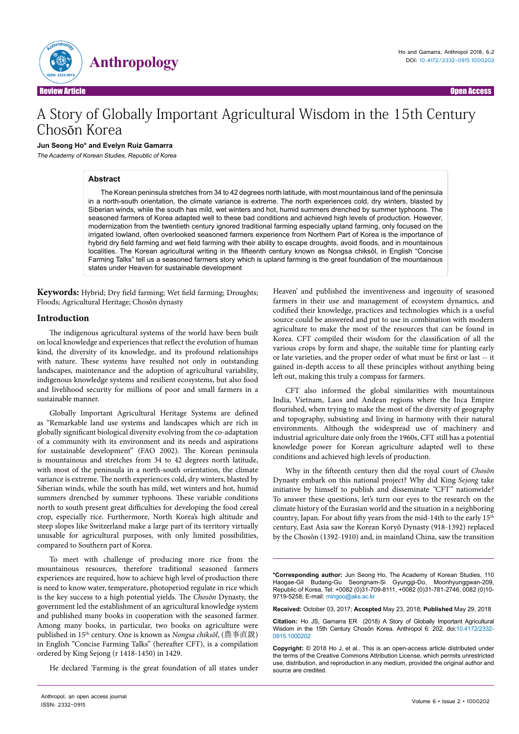

# A Story of Globally Important Agricultural Wisdom in the 15th Century Chosŏn Korea

#### **Jun Seong Ho\* and Evelyn Ruiz Gamarra**

The Academy of Korean Studies, Republic of Korea

## **Abstract**

The Korean peninsula stretches from 34 to 42 degrees north latitude, with most mountainous land of the peninsula in a north-south orientation, the climate variance is extreme. The north experiences cold, dry winters, blasted by Siberian winds, while the south has mild, wet winters and hot, humid summers drenched by summer typhoons. The seasoned farmers of Korea adapted well to these bad conditions and achieved high levels of production. However, modernization from the twentieth century ignored traditional farming especially upland farming, only focused on the irrigated lowland, often overlooked seasoned farmers experience from Northern Part of Korea is the importance of hybrid dry field farming and wet field farming with their ability to escape droughts, avoid floods, and in mountainous localities. The Korean agricultural writing in the fifteenth century known as Nongsa chiksŏl, in English "Concise Farming Talks" tell us a seasoned farmers story which is upland farming is the great foundation of the mountainous states under Heaven for sustainable development

**Keywords:** Hybrid; Dry field farming; Wet field farming; Droughts; Floods; Agricultural Heritage; Chosŏn dynasty

### **Introduction**

The indigenous agricultural systems of the world have been built on local knowledge and experiences that reflect the evolution of human kind, the diversity of its knowledge, and its profound relationships with nature. These systems have resulted not only in outstanding landscapes, maintenance and the adoption of agricultural variability, indigenous knowledge systems and resilient ecosystems, but also food and livelihood security for millions of poor and small farmers in a sustainable manner.

Globally Important Agricultural Heritage Systems are defined as "Remarkable land use systems and landscapes which are rich in globally significant biological diversity evolving from the co-adaptation of a community with its environment and its needs and aspirations for sustainable development" (FAO 2002). The Korean peninsula is mountainous and stretches from 34 to 42 degrees north latitude, with most of the peninsula in a north-south orientation, the climate variance is extreme. The north experiences cold, dry winters, blasted by Siberian winds, while the south has mild, wet winters and hot, humid summers drenched by summer typhoons. These variable conditions north to south present great difficulties for developing the food cereal crop, especially rice. Furthermore, North Korea's high altitude and steep slopes like Switzerland make a large part of its territory virtually unusable for agricultural purposes, with only limited possibilities, compared to Southern part of Korea.

To meet with challenge of producing more rice from the mountainous resources, therefore traditional seasoned farmers experiences are required, how to achieve high level of production there is need to know water, temperature, photoperiod regulate in rice which is the key success to a high potential yields. The *Chosŏn* Dynasty, the government led the establishment of an agricultural knowledge system and published many books in cooperation with the seasoned farmer. Among many books, in particular, two books on agriculture were published in 15th century. One is known as *Nongsa chiksŏl*, (農事直說) in English "Concise Farming Talks" (hereafter CFT), is a compilation ordered by King Sejong (r 1418-1450) in 1429.

He declared 'Farming is the great foundation of all states under

Heaven' and published the inventiveness and ingenuity of seasoned farmers in their use and management of ecosystem dynamics, and codified their knowledge, practices and technologies which is a useful source could be answered and put to use in combination with modern agriculture to make the most of the resources that can be found in Korea. CFT compiled their wisdom for the classification of all the various crops by form and shape, the suitable time for planting early or late varieties, and the proper order of what must be first or last -- it gained in-depth access to all these principles without anything being left out, making this truly a compass for farmers.

CFT also informed the global similarities with mountainous India, Vietnam, Laos and Andean regions where the Inca Empire flourished, when trying to make the most of the diversity of geography and topography, subsisting and living in harmony with their natural environments. Although the widespread use of machinery and industrial agriculture date only from the 1960s, CFT still has a potential knowledge power for Korean agriculture adapted well to these conditions and achieved high levels of production.

Why in the fifteenth century then did the royal court of *Chosŏn* Dynasty embark on this national project? Why did King *Sejong* take initiative by himself to publish and disseminate *"*CFT*"* nationwide? To answer these questions, let's turn our eyes to the research on the climate history of the Eurasian world and the situation in a neighboring country, Japan. For about fifty years from the mid-14th to the early 15<sup>th</sup> century, East Asia saw the Korean Koryŏ Dynasty (918-1392) replaced by the Chosŏn (1392-1910) and, in mainland China, saw the transition

**\*Corresponding author:** Jun Seong Ho, The Academy of Korean Studies, 110 Haogae-Gil Budang-Gu Seongnam-Si Gyunggi-Do, Moonhyunggwan-209, Republic of Korea, Tel: +0082 (0)31-709-8111, +0082 (0)31-781-2746, 0082 (0)10- 9719-5258; E-mail: mingoo@aks.ac.kr

**Received:** October 03, 2017; **Accepted** May 23, 2018; **Published** May 29, 2018

**Citation:** Ho JS, Gamarra ER (2018) A Story of Globally Important Agricultural Wisdom in the 15th Century Chosŏn Korea. Anthropol 6: 202. doi:10.4172/2332- 0915.1000202

**Copyright:** © 2018 Ho J, et al.. This is an open-access article distributed under the terms of the Creative Commons Attribution License, which permits unrestricted use, distribution, and reproduction in any medium, provided the original author and source are credited.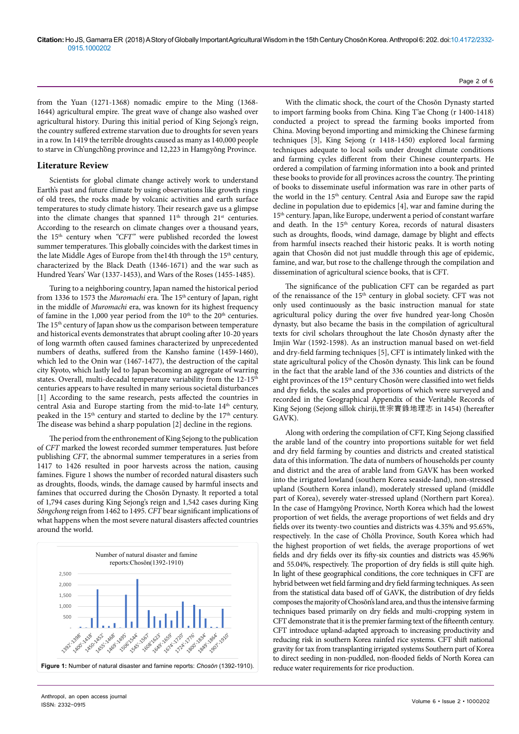from the Yuan (1271-1368) nomadic empire to the Ming (1368- 1644) agricultural empire. The great wave of change also washed over agricultural history. During this initial period of King Sejong's reign, the country suffered extreme starvation due to droughts for seven years in a row. In 1419 the terrible droughts caused as many as 140,000 people to starve in Ch'ungch'ŏng province and 12,223 in Hamgyŏng Province.

### **Literature Review**

Scientists for global climate change actively work to understand Earth's past and future climate by using observations like growth rings of old trees, the rocks made by volcanic activities and earth surface temperatures to study climate history. Their research gave us a glimpse into the climate changes that spanned 11<sup>th</sup> through 21<sup>st</sup> centuries. According to the research on climate changes over a thousand years, the 15th century when *"CFT"* were published recorded the lowest summer temperatures. This globally coincides with the darkest times in the late Middle Ages of Europe from the 14th through the  $15<sup>th</sup>$  century, characterized by the Black Death (1346-1671) and the war such as Hundred Years' War (1337-1453), and Wars of the Roses (1455-1485).

Turing to a neighboring country, Japan named the historical period from 1336 to 1573 the *Muromachi* era. The 15<sup>th</sup> century of Japan, right in the middle of *Muromachi* era, was known for its highest frequency of famine in the 1,000 year period from the  $10<sup>th</sup>$  to the  $20<sup>th</sup>$  centuries. The 15<sup>th</sup> century of Japan show us the comparison between temperature and historical events demonstrates that abrupt cooling after 10-20 years of long warmth often caused famines characterized by unprecedented numbers of deaths, suffered from the Kansho famine (1459-1460), which led to the Onin war (1467-1477), the destruction of the capital city Kyoto, which lastly led to Japan becoming an aggregate of warring states. Overall, multi-decadal temperature variability from the 12-15<sup>th</sup> centuries appears to have resulted in many serious societal disturbances [1] According to the same research, pests affected the countries in central Asia and Europe starting from the mid-to-late 14<sup>th</sup> century, peaked in the 15<sup>th</sup> century and started to decline by the 17<sup>th</sup> century. The disease was behind a sharp population [2] decline in the regions.

The period from the enthronement of King Sejong to the publication of *CFT* marked the lowest recorded summer temperatures. Just before publishing *CFT*, the abnormal summer temperatures in a series from 1417 to 1426 resulted in poor harvests across the nation, causing famines. Figure 1 shows the number of recorded natural disasters such as droughts, floods, winds, the damage caused by harmful insects and famines that occurred during the Chosŏn Dynasty. It reported a total of 1,794 cases during King Sejong's reign and 1,542 cases during King *Sŏngchong* reign from 1462 to 1495. *CFT* bear significant implications of what happens when the most severe natural disasters affected countries around the world.



With the climatic shock, the court of the Chosŏn Dynasty started to import farming books from China. King T'ae Chong (r 1400-1418) conducted a project to spread the farming books imported from China. Moving beyond importing and mimicking the Chinese farming techniques [3], King Sejong (r 1418-1450) explored local farming techniques adequate to local soils under drought climate conditions and farming cycles different from their Chinese counterparts. He ordered a compilation of farming information into a book and printed these books to provide for all provinces across the country. The printing of books to disseminate useful information was rare in other parts of the world in the 15<sup>th</sup> century. Central Asia and Europe saw the rapid decline in population due to epidemics [4], war and famine during the 15th century. Japan, like Europe, underwent a period of constant warfare and death. In the 15<sup>th</sup> century Korea, records of natural disasters such as droughts, floods, wind damage, damage by blight and effects from harmful insects reached their historic peaks. It is worth noting again that Chosŏn did not just muddle through this age of epidemic, famine, and war, but rose to the challenge through the compilation and dissemination of agricultural science books, that is CFT*.*

The significance of the publication CFT can be regarded as part of the renaissance of the 15<sup>th</sup> century in global society. CFT was not only used continuously as the basic instruction manual for state agricultural policy during the over five hundred year-long Chosŏn dynasty, but also became the basis in the compilation of agricultural texts for civil scholars throughout the late Chosŏn dynasty after the Imjin War (1592-1598). As an instruction manual based on wet-field and dry-field farming techniques [5], CFT is intimately linked with the state agricultural policy of the Chosŏn dynasty. This link can be found in the fact that the arable land of the 336 counties and districts of the eight provinces of the 15<sup>th</sup> century Chosŏn were classified into wet fields and dry fields, the scales and proportions of which were surveyed and recorded in the Geographical Appendix of the Veritable Records of King Sejong (Sejong sillok chiriji,世宗實錄地理志 in 1454) (hereafter GAVK).

Along with ordering the compilation of CFT, King Sejong classified the arable land of the country into proportions suitable for wet field and dry field farming by counties and districts and created statistical data of this information. The data of numbers of households per county and district and the area of arable land from GAVK has been worked into the irrigated lowland (southern Korea seaside-land), non-stressed upland (Southern Korea inland), moderately stressed upland (middle part of Korea), severely water-stressed upland (Northern part Korea). In the case of Hamgyŏng Province, North Korea which had the lowest proportion of wet fields, the average proportions of wet fields and dry fields over its twenty-two counties and districts was 4.35% and 95.65%, respectively. In the case of Chŏlla Province, South Korea which had the highest proportion of wet fields, the average proportions of wet fields and dry fields over its fifty-six counties and districts was 45.96% and 55.04%, respectively. The proportion of dry fields is still quite high. In light of these geographical conditions, the core techniques in CFT are hybrid between wet field farming and dry field farming techniques. As seen from the statistical data based off of GAVK, the distribution of dry fields composes the majority of Chosŏn's land area, and thus the intensive farming techniques based primarily on dry fields and multi-cropping system in CFT demonstrate that it is the premier farming text of the fifteenth century. CFT introduce upland-adapted approach to increasing productivity and reducing risk in southern Korea rainfed rice systems. CFT shift national gravity for tax from transplanting irrigated systems Southern part of Korea to direct seeding in non-puddled, non-flooded fields of North Korea can reduce water requirements for rice production.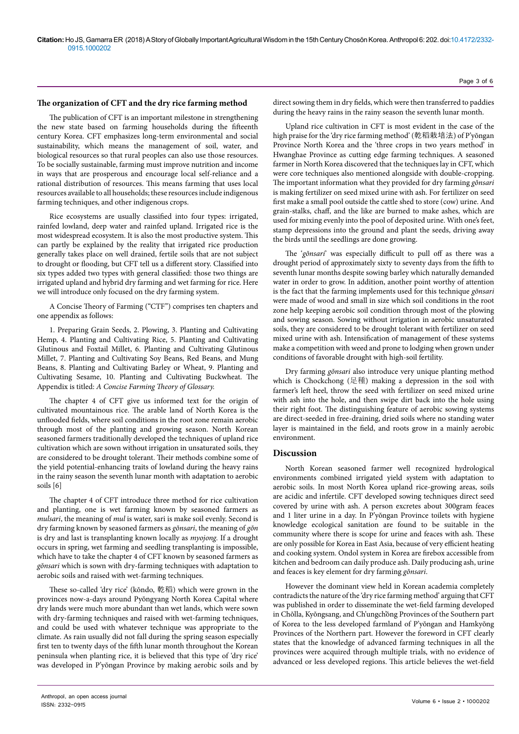## **The organization of CFT and the dry rice farming method**

The publication of CFT is an important milestone in strengthening the new state based on farming households during the fifteenth century Korea. CFT emphasizes long-term environmental and social sustainability, which means the management of soil, water, and biological resources so that rural peoples can also use those resources. To be socially sustainable, farming must improve nutrition and income in ways that are prosperous and encourage local self-reliance and a rational distribution of resources. This means farming that uses local resources available to all households; these resources include indigenous farming techniques, and other indigenous crops.

Rice ecosystems are usually classified into four types: irrigated, rainfed lowland, deep water and rainfed upland. Irrigated rice is the most widespread ecosystem. It is also the most productive system. This can partly be explained by the reality that irrigated rice production generally takes place on well drained, fertile soils that are not subject to drought or flooding, but CFT tell us a different story. Classified into six types added two types with general classified: those two things are irrigated upland and hybrid dry farming and wet farming for rice. Here we will introduce only focused on the dry farming system.

A Concise Theory of Farming ("CTF") comprises ten chapters and one appendix as follows:

1. Preparing Grain Seeds, 2. Plowing, 3. Planting and Cultivating Hemp, 4. Planting and Cultivating Rice, 5. Planting and Cultivating Glutinous and Foxtail Millet, 6. Planting and Cultivating Glutinous Millet, 7. Planting and Cultivating Soy Beans, Red Beans, and Mung Beans, 8. Planting and Cultivating Barley or Wheat, 9. Planting and Cultivating Sesame, 10. Planting and Cultivating Buckwheat. The Appendix is titled: *A Concise Farming Theory of Glossary.* 

The chapter 4 of CFT give us informed text for the origin of cultivated mountainous rice. The arable land of North Korea is the unflooded fields, where soil conditions in the root zone remain aerobic through most of the planting and growing season. North Korean seasoned farmers traditionally developed the techniques of upland rice cultivation which are sown without irrigation in unsaturated soils, they are considered to be drought tolerant. Their methods combine some of the yield potential-enhancing traits of lowland during the heavy rains in the rainy season the seventh lunar month with adaptation to aerobic soils [6]

The chapter 4 of CFT introduce three method for rice cultivation and planting, one is wet farming known by seasoned farmers as *mulsari*, the meaning of *mul* is water, sari is make soil evenly. Second is dry farming known by seasoned farmers as *gŏnsari*, the meaning of *gŏn*  is dry and last is transplanting known locally as *myojong.* If a drought occurs in spring, wet farming and seedling transplanting is impossible, which have to take the chapter 4 of CFT known by seasoned farmers as *gŏnsari* which is sown with dry-farming techniques with adaptation to aerobic soils and raised with wet-farming techniques.

These so-called 'dry rice' (kŏndo, 乾稻) which were grown in the provinces now-a-days around Pyŏngyang North Korea Capital where dry lands were much more abundant than wet lands, which were sown with dry-farming techniques and raised with wet-farming techniques, and could be used with whatever technique was appropriate to the climate. As rain usually did not fall during the spring season especially first ten to twenty days of the fifth lunar month throughout the Korean peninsula when planting rice, it is believed that this type of 'dry rice' was developed in P'yŏngan Province by making aerobic soils and by direct sowing them in dry fields, which were then transferred to paddies during the heavy rains in the rainy season the seventh lunar month.

Upland rice cultivation in CFT is most evident in the case of the high praise for the 'dry rice farming method' (乾稻栽培法) of P'yŏngan Province North Korea and the 'three crops in two years method' in Hwanghae Province as cutting edge farming techniques. A seasoned farmer in North Korea discovered that the techniques lay in CFT, which were core techniques also mentioned alongside with double-cropping. The important information what they provided for dry farming *gŏnsari* is making fertilizer on seed mixed urine with ash. For fertilizer on seed first make a small pool outside the cattle shed to store (cow) urine. And grain-stalks, chaff, and the like are burned to make ashes, which are used for mixing evenly into the pool of deposited urine. With one's feet, stamp depressions into the ground and plant the seeds, driving away the birds until the seedlings are done growing.

The '*gŏnsari*' was especially difficult to pull off as there was a drought period of approximately sixty to seventy days from the fifth to seventh lunar months despite sowing barley which naturally demanded water in order to grow. In addition, another point worthy of attention is the fact that the farming implements used for this technique *gŏnsari* were made of wood and small in size which soil conditions in the root zone help keeping aerobic soil condition through most of the plowing and sowing season. Sowing without irrigation in aerobic unsaturated soils, they are considered to be drought tolerant with fertilizer on seed mixed urine with ash. Intensification of management of these systems make a competition with weed and prone to lodging when grown under conditions of favorable drought with high-soil fertility.

Dry farming *gŏnsari* also introduce very unique planting method which is Chockchong (足種) making a depression in the soil with farmer's left heel, throw the seed with fertilizer on seed mixed urine with ash into the hole, and then swipe dirt back into the hole using their right foot. The distinguishing feature of aerobic sowing systems are direct-seeded in free-draining, dried soils where no standing water layer is maintained in the field, and roots grow in a mainly aerobic environment.

## **Discussion**

North Korean seasoned farmer well recognized hydrological environments combined irrigated yield system with adaptation to aerobic soils. In most North Korea upland rice-growing areas, soils are acidic and infertile. CFT developed sowing techniques direct seed covered by urine with ash. A person excretes about 300gram feaces and 1 liter urine in a day. In P'yŏngan Province toilets with hygiene knowledge ecological sanitation are found to be suitable in the community where there is scope for urine and feaces with ash. These are only possible for Korea in East Asia, because of very efficient heating and cooking system. Ondol system in Korea are firebox accessible from kitchen and bedroom can daily produce ash. Daily producing ash, urine and feaces is key element for dry farming *gŏnsari*.

However the dominant view held in Korean academia completely contradicts the nature of the 'dry rice farming method' arguing that CFT was published in order to disseminate the wet-field farming developed in Chŏlla, Kyŏngsang, and Ch'ungch'ŏng Provinces of the Southern part of Korea to the less developed farmland of P'yŏngan and Hamkyŏng Provinces of the Northern part. However the foreword in CFT clearly states that the knowledge of advanced farming techniques in all the provinces were acquired through multiple trials, with no evidence of advanced or less developed regions. This article believes the wet-field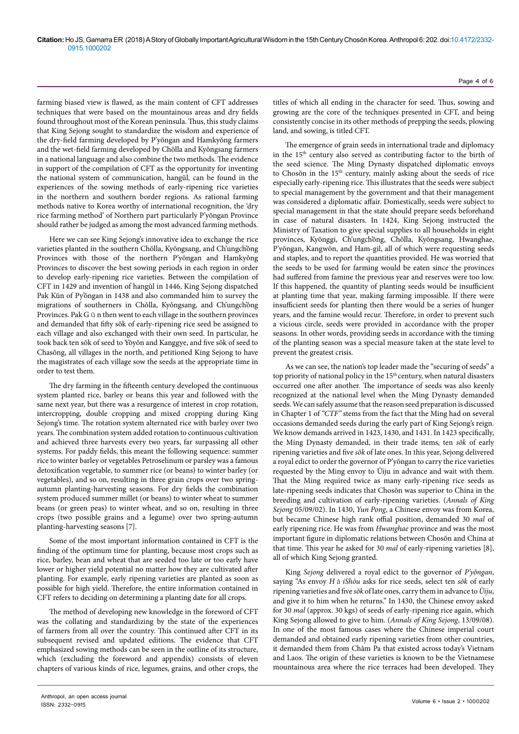farming biased view is flawed, as the main content of CFT addresses techniques that were based on the mountainous areas and dry fields found throughout most of the Korean peninsula. Thus, this study claims that King Sejong sought to standardize the wisdom and experience of the dry-field farming developed by P'yŏngan and Hamkyŏng farmers and the wet-field farming developed by Chŏlla and Kyŏngsang farmers in a national language and also combine the two methods. The evidence in support of the compilation of CFT as the opportunity for inventing the national system of communication, hangŭl, can be found in the experiences of the sowing methods of early-ripening rice varieties in the northern and southern border regions. As rational farming methods native to Korea worthy of international recognition, the 'dry rice farming method' of Northern part particularly P'yŏngan Province should rather be judged as among the most advanced farming methods.

Here we can see King Sejong's innovative idea to exchange the rice varieties planted in the southern Chŏlla, Kyŏngsang, and Ch'ungch'ŏng Provinces with those of the northern P'yŏngan and Hamkyŏng Provinces to discover the best sowing periods in each region in order to develop early-ripening rice varieties. Between the compilation of CFT in 1429 and invention of hangŭl in 1446, King Sejong dispatched Pak Kŭn of Py'ŏngan in 1438 and also commanded him to survey the migrations of southerners in Chŏlla, Kyŏngsang, and Ch'ungch'ŏng Provinces. Pak G  $\check{u}$  n then went to each village in the southern provinces and demanded that fifty sŏk of early-ripening rice seed be assigned to each village and also exchanged with their own seed. In particular, he took back ten sŏk of seed to Yŏyŏn and Kanggye, and five sŏk of seed to Chasŏng, all villages in the north, and petitioned King Sejong to have the magistrates of each village sow the seeds at the appropriate time in order to test them.

The dry farming in the fifteenth century developed the continuous system planted rice, barley or beans this year and followed with the same next year, but there was a resurgence of interest in crop rotation, intercropping, double cropping and mixed cropping during King Sejong's time. The rotation system alternated rice with barley over two years. The combination system added rotation to continuous cultivation and achieved three harvests every two years, far surpassing all other systems. For paddy fields, this meant the following sequence: summer rice to winter barley or vegetables Petroselinum or parsley was a famous detoxification vegetable, to summer rice (or beans) to winter barley (or vegetables), and so on, resulting in three grain crops over two springautumn planting-harvesting seasons. For dry fields the combination system produced summer millet (or beans) to winter wheat to summer beans (or green peas) to winter wheat, and so on, resulting in three crops (two possible grains and a legume) over two spring-autumn planting-harvesting seasons [7].

Some of the most important information contained in CFT is the finding of the optimum time for planting, because most crops such as rice, barley, bean and wheat that are seeded too late or too early have lower or higher yield potential no matter how they are cultivated after planting. For example, early ripening varieties are planted as soon as possible for high yield. Therefore, the entire information contained in CFT refers to deciding on determining a planting date for all crops.

The method of developing new knowledge in the foreword of CFT was the collating and standardizing by the state of the experiences of farmers from all over the country. This continued after CFT in its subsequent revised and updated editions. The evidence that CFT emphasized sowing methods can be seen in the outline of its structure, which (excluding the foreword and appendix) consists of eleven chapters of various kinds of rice, legumes, grains, and other crops, the

titles of which all ending in the character for seed. Thus, sowing and growing are the core of the techniques presented in CFT, and being consistently concise in its other methods of prepping the seeds, plowing land, and sowing, is titled CFT.

The emergence of grain seeds in international trade and diplomacy in the 15<sup>th</sup> century also served as contributing factor to the birth of the seed science. The Ming Dynasty dispatched diplomatic envoys to Chosŏn in the 15<sup>th</sup> century, mainly asking about the seeds of rice especially early-ripening rice. This illustrates that the seeds were subject to special management by the government and that their management was considered a diplomatic affair. Domestically, seeds were subject to special management in that the state should prepare seeds beforehand in case of natural disasters. In 1424, King Sejong instructed the Ministry of Taxation to give special supplies to all households in eight provinces, Kyŏnggi, Ch'ungch'ŏng, Chŏlla, Kyŏngsang, Hwanghae, P'yŏngan, Kangwŏn, and Ham-gil, all of which were requesting seeds and staples, and to report the quantities provided. He was worried that the seeds to be used for farming would be eaten since the provinces had suffered from famine the previous year and reserves were too low. If this happened, the quantity of planting seeds would be insufficient at planting time that year, making farming impossible. If there were insufficient seeds for planting then there would be a series of hunger years, and the famine would recur. Therefore, in order to prevent such a vicious circle, seeds were provided in accordance with the proper seasons. In other words, providing seeds in accordance with the timing of the planting season was a special measure taken at the state level to prevent the greatest crisis.

As we can see, the nation's top leader made the "securing of seeds" a top priority of national policy in the 15<sup>th</sup> century, when natural disasters occurred one after another. The importance of seeds was also keenly recognized at the national level when the Ming Dynasty demanded seeds. We can safely assume that the reason seed preparation is discussed in Chapter 1 of *"CTF"* stems from the fact that the Ming had on several occasions demanded seeds during the early part of King Sejong's reign. We know demands arrived in 1423, 1430, and 1431. In 1423 specifically, the Ming Dynasty demanded, in their trade items, ten *sŏk* of early ripening varieties and five *sŏk* of late ones. In this year, Sejong delivered a royal edict to order the governor of P'yŏngan to carry the rice varieties requested by the Ming envoy to Ŭiju in advance and wait with them. That the Ming required twice as many early-ripening rice seeds as late-ripening seeds indicates that Chosŏn was superior to China in the breeding and cultivation of early-ripening varieties. (*Annals of King Sejong* 05/09/02). In 1430, *Yun Pong*, a Chinese envoy was from Korea, but became Chinese high rank offial position, demanded 30 *mal* of early ripening rice. He was from *Hwanghae* province and was the most important figure in diplomatic relations between Chosŏn and China at that time. This year he asked for 30 *mal* of early-ripening varieties [8], all of which King Sejong granted.

King *Sejong* delivered a royal edict to the governor of *P'yŏngan*, saying "As envoy *H*ǎ*iShòu* asks for rice seeds, select ten *sŏk* of early ripening varieties and five *sŏk* of late ones, carry them in advance to *Ŭiju*, and give it to him when he returns." In 1430, the Chinese envoy asked for 30 *mal* (approx. 30 kgs) of seeds of early-ripening rice again, which King Sejong allowed to give to him. (*Annals of King Sejong*, 13/09/08). In one of the most famous cases where the Chinese imperial court demanded and obtained early ripening varieties from other countries, it demanded them from Chăm Pa that existed across today's Vietnam and Laos. The origin of these varieties is known to be the Vietnamese mountainous area where the rice terraces had been developed. They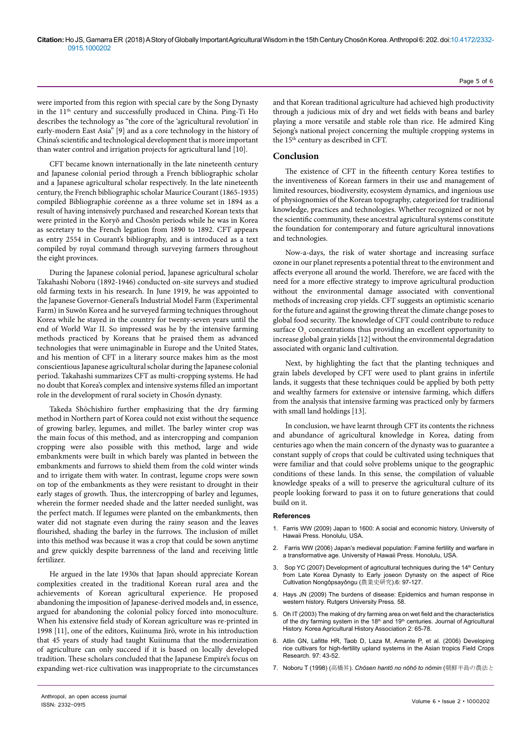were imported from this region with special care by the Song Dynasty in the 11th century and successfully produced in China. Ping-Ti Ho describes the technology as "the core of the 'agricultural revolution' in early-modern East Asia" [9] and as a core technology in the history of China's scientific and technological development that is more important than water control and irrigation projects for agricultural land [10].

CFT became known internationally in the late nineteenth century and Japanese colonial period through a French bibliographic scholar and a Japanese agricultural scholar respectively. In the late nineteenth century, the French bibliographic scholar Maurice Courant (1865-1935) compiled Bibliographie coréenne as a three volume set in 1894 as a result of having intensively purchased and researched Korean texts that were printed in the Koryŏ and Chosŏn periods while he was in Korea as secretary to the French legation from 1890 to 1892. CFT appears as entry 2554 in Courant's bibliography, and is introduced as a text compiled by royal command through surveying farmers throughout the eight provinces.

During the Japanese colonial period, Japanese agricultural scholar Takahashi Noboru (1892-1946) conducted on-site surveys and studied old farming texts in his research. In June 1919, he was appointed to the Japanese Governor-General's Industrial Model Farm (Experimental Farm) in Suwŏn Korea and he surveyed farming techniques throughout Korea while he stayed in the country for twenty-seven years until the end of World War II. So impressed was he by the intensive farming methods practiced by Koreans that he praised them as advanced technologies that were unimaginable in Europe and the United States, and his mention of CFT in a literary source makes him as the most conscientious Japanese agricultural scholar during the Japanese colonial period. Takahashi summarizes CFT as multi-cropping systems. He had no doubt that Korea's complex and intensive systems filled an important role in the development of rural society in Chos*ǒ*n dynasty.

Takeda Shōchishiro further emphasizing that the dry farming method in Northern part of Korea could not exist without the sequence of growing barley, legumes, and millet. The barley winter crop was the main focus of this method, and as intercropping and companion cropping were also possible with this method, large and wide embankments were built in which barely was planted in between the embankments and furrows to shield them from the cold winter winds and to irrigate them with water. In contrast, legume crops were sown on top of the embankments as they were resistant to drought in their early stages of growth. Thus, the intercropping of barley and legumes, wherein the former needed shade and the latter needed sunlight, was the perfect match. If legumes were planted on the embankments, then water did not stagnate even during the rainy season and the leaves flourished, shading the barley in the furrows. The inclusion of millet into this method was because it was a crop that could be sown anytime and grew quickly despite barrenness of the land and receiving little fertilizer.

He argued in the late 1930s that Japan should appreciate Korean complexities created in the traditional Korean rural area and the achievements of Korean agricultural experience. He proposed abandoning the imposition of Japanese-derived models and, in essence, argued for abandoning the colonial policy forced into monoculture. When his extensive field study of Korean agriculture was re-printed in 1998 [11], one of the editors, Kuiinuma Jirō, wrote in his introduction that 45 years of study had taught Kuiinuma that the modernization of agriculture can only succeed if it is based on locally developed tradition. These scholars concluded that the Japanese Empire's focus on expanding wet-rice cultivation was inappropriate to the circumstances

and that Korean traditional agriculture had achieved high productivity through a judicious mix of dry and wet fields with beans and barley playing a more versatile and stable role than rice. He admired King Sejong's national project concerning the multiple cropping systems in the 15<sup>th</sup> century as described in CFT.

# **Conclusion**

The existence of CFT in the fifteenth century Korea testifies to the inventiveness of Korean farmers in their use and management of limited resources, biodiversity, ecosystem dynamics, and ingenious use of physiognomies of the Korean topography, categorized for traditional knowledge, practices and technologies. Whether recognized or not by the scientific community, these ancestral agricultural systems constitute the foundation for contemporary and future agricultural innovations and technologies.

Now-a-days, the risk of water shortage and increasing surface ozone in our planet represents a potential threat to the environment and affects everyone all around the world. Therefore, we are faced with the need for a more effective strategy to improve agricultural production without the environmental damage associated with conventional methods of increasing crop yields. CFT suggests an optimistic scenario for the future and against the growing threat the climate change poses to global food security. The knowledge of CFT could contribute to reduce surface  $O_3$  concentrations thus providing an excellent opportunity to increase global grain yields [12] without the environmental degradation associated with organic land cultivation.

Next, by highlighting the fact that the planting techniques and grain labels developed by CFT were used to plant grains in infertile lands, it suggests that these techniques could be applied by both petty and wealthy farmers for extensive or intensive farming, which differs from the analysis that intensive farming was practiced only by farmers with small land holdings [13].

In conclusion, we have learnt through CFT its contents the richness and abundance of agricultural knowledge in Korea, dating from centuries ago when the main concern of the dynasty was to guarantee a constant supply of crops that could be cultivated using techniques that were familiar and that could solve problems unique to the geographic conditions of these lands. In this sense, the compilation of valuable knowledge speaks of a will to preserve the agricultural culture of its people looking forward to pass it on to future generations that could build on it.

#### **References**

- 1. [Farris WW \(2009\) Japan to 1600: A social and economic history. University of](https://books.google.co.in/books?hl=en&lr=&id=oEkewem1LBYC&oi=fnd&pg=PA1&dq=12.%09William+Wayne+Farris,+Japan+to+1600:+A+Social+and+Economic+History+University+of+Hawaii+Press.+Honolulu:+2009&ots=gw9aCeVSUP&sig=ZaPi_RWoNVEKzNAYWGwI1gWk7_o#v=onepage&q&f=false)  [Hawaii Press. Honolulu, USA.](https://books.google.co.in/books?hl=en&lr=&id=oEkewem1LBYC&oi=fnd&pg=PA1&dq=12.%09William+Wayne+Farris,+Japan+to+1600:+A+Social+and+Economic+History+University+of+Hawaii+Press.+Honolulu:+2009&ots=gw9aCeVSUP&sig=ZaPi_RWoNVEKzNAYWGwI1gWk7_o#v=onepage&q&f=false)
- 2. [Farris WW \(2006\) Japan's medieval population: Famine fertility and warfare in](https://books.google.co.in/books?hl=en&lr=&id=xEh2ohiJWVgC&oi=fnd&pg=PR9&dq=3.%09William+Wayne+Farris,+Japan%27s+Medieval+Population:+Famine,+Fertility,+and+Warfare+in+a+Transformative+Age,+University+of+Hawaii+Press.+Honolulu:+2006.+&ots=n6oKhGoIKj&sig=lvYGe2vzSUVRSWo7lPyQ3oS7AH8#v=onepage&q&f=false)  [a transformative age. University of Hawaii Press. Honolulu, USA.](https://books.google.co.in/books?hl=en&lr=&id=xEh2ohiJWVgC&oi=fnd&pg=PR9&dq=3.%09William+Wayne+Farris,+Japan%27s+Medieval+Population:+Famine,+Fertility,+and+Warfare+in+a+Transformative+Age,+University+of+Hawaii+Press.+Honolulu:+2006.+&ots=n6oKhGoIKj&sig=lvYGe2vzSUVRSWo7lPyQ3oS7AH8#v=onepage&q&f=false)
- 3. Sop YC (2007) Development of agricultural techniques during the 14<sup>th</sup> Century from Late Korea Dynasty to Early joseon Dynasty on the aspect of Rice Cultivation Nongǒpsayǒngu (農業史硏究).6: 97-127.
- 4. [Hays JN \(2009\) The burdens of disease: Epidemics and human response in](https://books.google.co.in/books?hl=en&lr=&id=AJReBNnOoL8C&oi=fnd&pg=PR9&dq=8.%09Hays+JN+(2009)+The+burdens+of+disease:+epidemics+and+human+response+in+western+history.+Rutgers+University+Press.+58.&ots=VDx-LGGaeO&sig=eH-kLnsTdjVvgFBPpn7q4M2gGow#v=onepage&q&f=false)  [western history. Rutgers University Press. 58.](https://books.google.co.in/books?hl=en&lr=&id=AJReBNnOoL8C&oi=fnd&pg=PR9&dq=8.%09Hays+JN+(2009)+The+burdens+of+disease:+epidemics+and+human+response+in+western+history.+Rutgers+University+Press.+58.&ots=VDx-LGGaeO&sig=eH-kLnsTdjVvgFBPpn7q4M2gGow#v=onepage&q&f=false)
- 5. Oh IT (2003) The making of dry farming area on wet field and the characteristics of the dry farming system in the 18<sup>th</sup> and 19<sup>th</sup> centuries. Journal of Agricultural History. Korea Agricultural History Association 2: 65-78.
- 6. [Atlin GN, Lafitte HR, Taob D, Laza M, Amante P, et al. \(2006\) Developing](https://doi.org/10.1016/j.fcr.2005.08.014)  [rice cultivars for high-fertility upland systems in the Asian tropics Field Crops](https://doi.org/10.1016/j.fcr.2005.08.014)  [Research. 97: 43-52.](https://doi.org/10.1016/j.fcr.2005.08.014)
- 7. Noboru T (1998) (高橋昇). *Chōsen hantō no nōhō to nōmin* (朝鮮半島の農法と